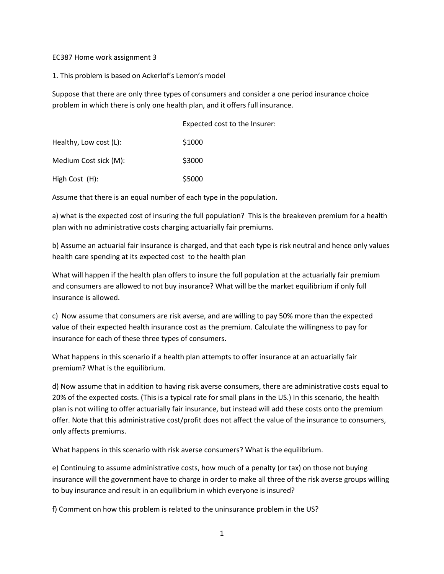EC387 Home work assignment 3

1. This problem is based on Ackerlof's Lemon's model

Suppose that there are only three types of consumers and consider a one period insurance choice problem in which there is only one health plan, and it offers full insurance.

|                        | Expected cost to the Insurer: |
|------------------------|-------------------------------|
| Healthy, Low cost (L): | \$1000                        |
| Medium Cost sick (M):  | \$3000                        |
| High Cost (H):         | \$5000                        |

Assume that there is an equal number of each type in the population.

a) what is the expected cost of insuring the full population? This is the breakeven premium for a health plan with no administrative costs charging actuarially fair premiums.

b) Assume an actuarial fair insurance is charged, and that each type is risk neutral and hence only values health care spending at its expected cost to the health plan

What will happen if the health plan offers to insure the full population at the actuarially fair premium and consumers are allowed to not buy insurance? What will be the market equilibrium if only full insurance is allowed.

c) Now assume that consumers are risk averse, and are willing to pay 50% more than the expected value of their expected health insurance cost as the premium. Calculate the willingness to pay for insurance for each of these three types of consumers.

What happens in this scenario if a health plan attempts to offer insurance at an actuarially fair premium? What is the equilibrium.

d) Now assume that in addition to having risk averse consumers, there are administrative costs equal to 20% of the expected costs. (This is a typical rate for small plans in the US.) In this scenario, the health plan is not willing to offer actuarially fair insurance, but instead will add these costs onto the premium offer. Note that this administrative cost/profit does not affect the value of the insurance to consumers, only affects premiums.

What happens in this scenario with risk averse consumers? What is the equilibrium.

e) Continuing to assume administrative costs, how much of a penalty (or tax) on those not buying insurance will the government have to charge in order to make all three of the risk averse groups willing to buy insurance and result in an equilibrium in which everyone is insured?

f) Comment on how this problem is related to the uninsurance problem in the US?